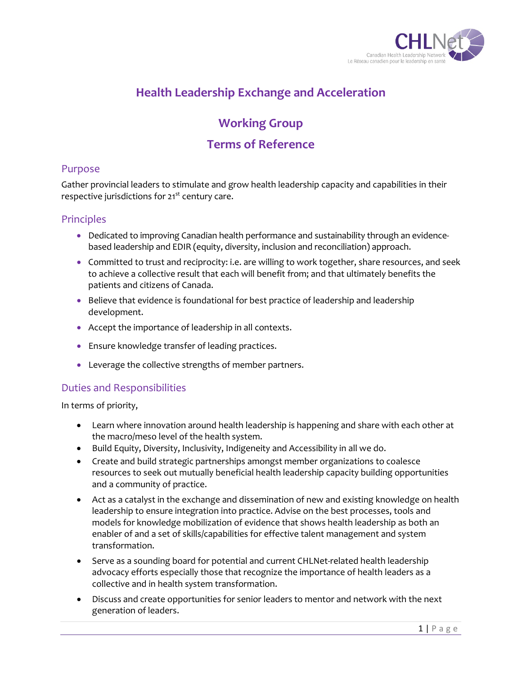

# **Health Leadership Exchange and Acceleration**

# **Working Group**

## **Terms of Reference**

#### Purpose

Gather provincial leaders to stimulate and grow health leadership capacity and capabilities in their respective jurisdictions for 21<sup>st</sup> century care.

### Principles

- Dedicated to improving Canadian health performance and sustainability through an evidencebased leadership and EDIR (equity, diversity, inclusion and reconciliation) approach.
- Committed to trust and reciprocity: i.e. are willing to work together, share resources, and seek to achieve a collective result that each will benefit from; and that ultimately benefits the patients and citizens of Canada.
- Believe that evidence is foundational for best practice of leadership and leadership development.
- Accept the importance of leadership in all contexts.
- Ensure knowledge transfer of leading practices.
- Leverage the collective strengths of member partners.

#### Duties and Responsibilities

In terms of priority,

- Learn where innovation around health leadership is happening and share with each other at the macro/meso level of the health system.
- Build Equity, Diversity, Inclusivity, Indigeneity and Accessibility in all we do.
- Create and build strategic partnerships amongst member organizations to coalesce resources to seek out mutually beneficial health leadership capacity building opportunities and a community of practice.
- Act as a catalyst in the exchange and dissemination of new and existing knowledge on health leadership to ensure integration into practice. Advise on the best processes, tools and models for knowledge mobilization of evidence that shows health leadership as both an enabler of and a set of skills/capabilities for effective talent management and system transformation.
- Serve as a sounding board for potential and current CHLNet-related health leadership advocacy efforts especially those that recognize the importance of health leaders as a collective and in health system transformation.
- Discuss and create opportunities for senior leaders to mentor and network with the next generation of leaders.